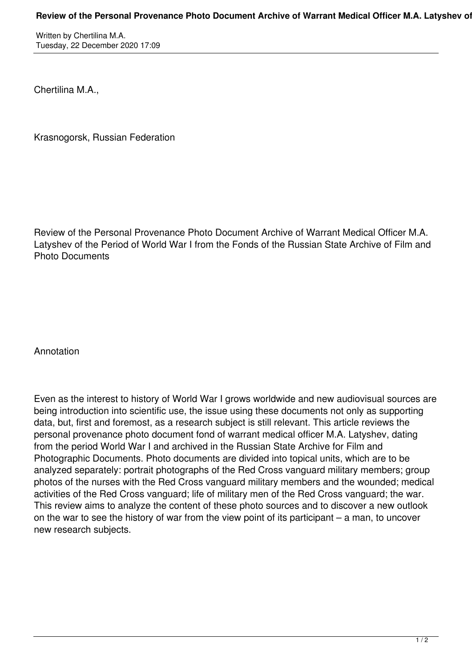Written by Chertilina M.A. Tuesday, 22 December 2020 17:09

Chertilina M.A.,

Krasnogorsk, Russian Federation

Review of the Personal Provenance Photo Document Archive of Warrant Medical Officer M.A. Latyshev of the Period of World War I from the Fonds of the Russian State Archive of Film and Photo Documents

## Annotation

Even as the interest to history of World War I grows worldwide and new audiovisual sources are being introduction into scientific use, the issue using these documents not only as supporting data, but, first and foremost, as a research subject is still relevant. This article reviews the personal provenance photo document fond of warrant medical officer M.A. Latyshev, dating from the period World War I and archived in the Russian State Archive for Film and Photographic Documents. Photo documents are divided into topical units, which are to be analyzed separately: portrait photographs of the Red Cross vanguard military members; group photos of the nurses with the Red Cross vanguard military members and the wounded; medical activities of the Red Cross vanguard; life of military men of the Red Cross vanguard; the war. This review aims to analyze the content of these photo sources and to discover a new outlook on the war to see the history of war from the view point of its participant – a man, to uncover new research subjects.